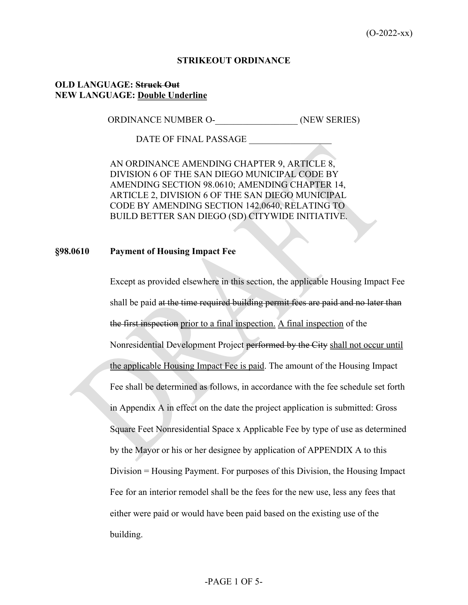#### **STRIKEOUT ORDINANCE**

## **OLD LANGUAGE: Struck Out NEW LANGUAGE: Double Underline**

ORDINANCE NUMBER O- (NEW SERIES)

DATE OF FINAL PASSAGE

AN ORDINANCE AMENDING CHAPTER 9, ARTICLE 8, DIVISION 6 OF THE SAN DIEGO MUNICIPAL CODE BY AMENDING SECTION 98.0610; AMENDING CHAPTER 14, ARTICLE 2, DIVISION 6 OF THE SAN DIEGO MUNICIPAL CODE BY AMENDING SECTION 142.0640, RELATING TO BUILD BETTER SAN DIEGO (SD) CITYWIDE INITIATIVE.

## **§98.0610 Payment of Housing Impact Fee**

Except as provided elsewhere in this section, the applicable Housing Impact Fee shall be paid at the time required building permit fees are paid and no later than the first inspection prior to a final inspection. A final inspection of the Nonresidential Development Project performed by the City shall not occur until the applicable Housing Impact Fee is paid. The amount of the Housing Impact Fee shall be determined as follows, in accordance with the fee schedule set forth in Appendix A in effect on the date the project application is submitted: Gross Square Feet Nonresidential Space x Applicable Fee by type of use as determined by the Mayor or his or her designee by application of APPENDIX A to this Division = Housing Payment. For purposes of this Division, the Housing Impact Fee for an interior remodel shall be the fees for the new use, less any fees that either were paid or would have been paid based on the existing use of the building.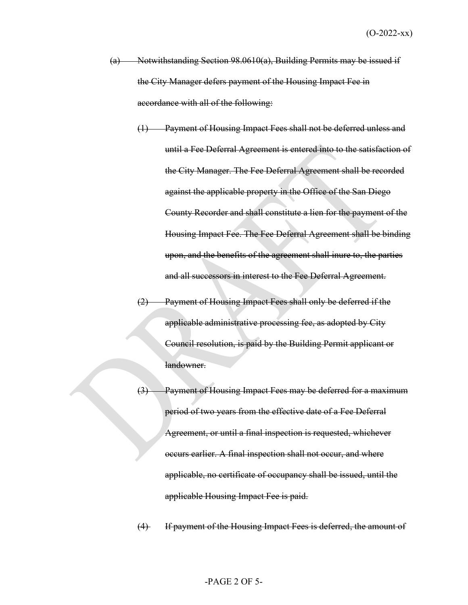- (a) Notwithstanding Section 98.0610(a), Building Permits may be issued if the City Manager defers payment of the Housing Impact Fee in accordance with all of the following:
	- (1) Payment of Housing Impact Fees shall not be deferred unless and until a Fee Deferral Agreement is entered into to the satisfaction of the City Manager. The Fee Deferral Agreement shall be recorded against the applicable property in the Office of the San Diego County Recorder and shall constitute a lien for the payment of the Housing Impact Fee. The Fee Deferral Agreement shall be binding upon, and the benefits of the agreement shall inure to, the parties and all successors in interest to the Fee Deferral Agreement.
	- (2) Payment of Housing Impact Fees shall only be deferred if the applicable administrative processing fee, as adopted by City Council resolution, is paid by the Building Permit applicant or landowner.
	- Payment of Housing Impact Fees may be deferred for a maximum period of two years from the effective date of a Fee Deferral Agreement, or until a final inspection is requested, whichever occurs earlier. A final inspection shall not occur, and where applicable, no certificate of occupancy shall be issued, until the applicable Housing Impact Fee is paid.

(4) If payment of the Housing Impact Fees is deferred, the amount of

#### -PAGE 2 OF 5-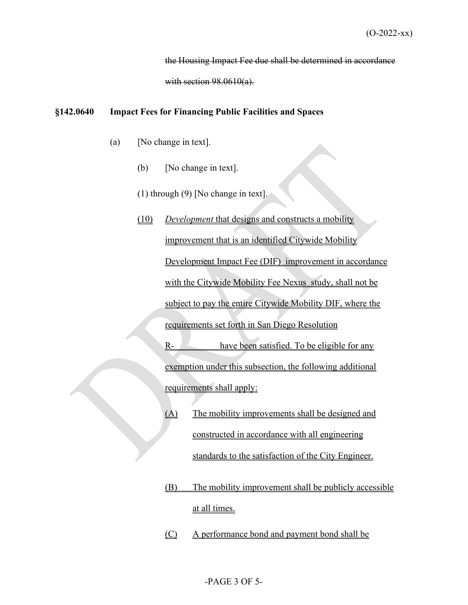the Housing Impact Fee due shall be determined in accordance

with section 98.0610(a).

#### **§142.0640 Impact Fees for Financing Public Facilities and Spaces**

- (a) [No change in text].
	- (b) [No change in text].
	- (1) through (9) [No change in text].

# (10) *Development* that designs and constructs a mobility improvement that is an identified Citywide Mobility Development Impact Fee (DIF) improvement in accordance with the Citywide Mobility Fee Nexus study, shall not be subject to pay the entire Citywide Mobility DIF, where the requirements set forth in San Diego Resolution  $R-$  have been satisfied. To be eligible for any exemption under this subsection, the following additional requirements shall apply:

- (A) The mobility improvements shall be designed and constructed in accordance with all engineering standards to the satisfaction of the City Engineer.
- (B) The mobility improvement shall be publicly accessible at all times.
- (C) A performance bond and payment bond shall be

# -PAGE 3 OF 5-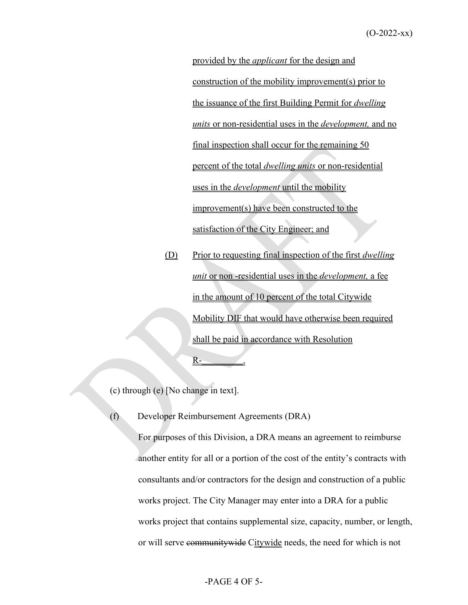provided by the *applicant* for the design and construction of the mobility improvement(s) prior to the issuance of the first Building Permit for *dwelling units* or non-residential uses in the *development,* and no final inspection shall occur for the remaining 50 percent of the total *dwelling units* or non-residential uses in the *development* until the mobility improvement(s) have been constructed to the satisfaction of the City Engineer; and

(D) Prior to requesting final inspection of the first *dwelling unit* or non -residential uses in the *development,* a fee in the amount of 10 percent of the total Citywide Mobility DIF that would have otherwise been required shall be paid in accordance with Resolution  $R-$ 

(c) through (e) [No change in text].

(f) Developer Reimbursement Agreements (DRA)

For purposes of this Division, a DRA means an agreement to reimburse another entity for all or a portion of the cost of the entity's contracts with consultants and/or contractors for the design and construction of a public works project. The City Manager may enter into a DRA for a public works project that contains supplemental size, capacity, number, or length, or will serve community wide Citywide needs, the need for which is not